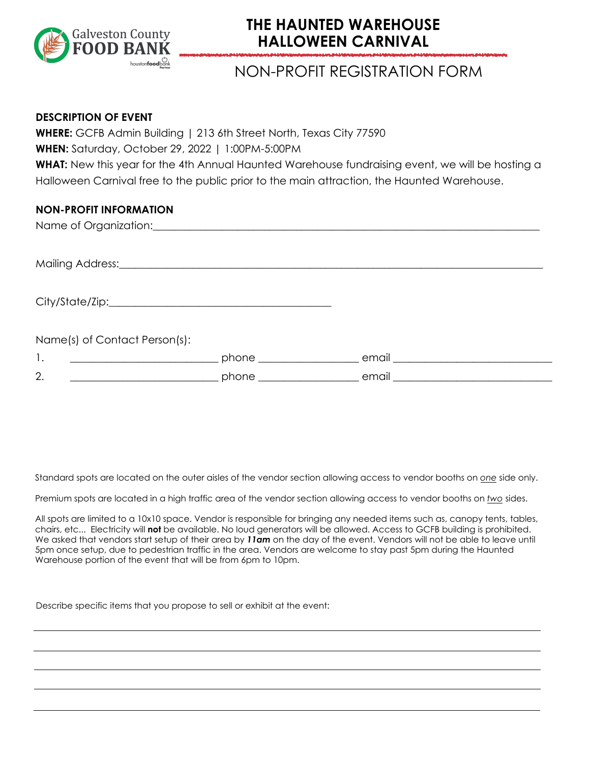

## **THE HAUNTED WAREHOUSE HALLOWEEN CARNIVAL**

## NON-PROFIT REGISTRATION FORM

#### **DESCRIPTION OF EVENT**

**WHERE:** GCFB Admin Building | 213 6th Street North, Texas City 77590 **WHEN:** Saturday, October 29, 2022 | 1:00PM-5:00PM WHAT: New this year for the 4th Annual Haunted Warehouse fundraising event, we will be hosting a Halloween Carnival free to the public prior to the main attraction, the Haunted Warehouse.

#### **NON-PROFIT INFORMATION**

|                                                            | Name of Organization: <u>contained a series of the series of the series of the series of the series of the series of the series of the series of the series of the series of the series of the series of the series of the serie</u> |                               |  |
|------------------------------------------------------------|--------------------------------------------------------------------------------------------------------------------------------------------------------------------------------------------------------------------------------------|-------------------------------|--|
|                                                            |                                                                                                                                                                                                                                      |                               |  |
|                                                            |                                                                                                                                                                                                                                      |                               |  |
| Name(s) of Contact Person(s):                              |                                                                                                                                                                                                                                      |                               |  |
| 1.<br><u> 1990 - Jan Barbara Barbara, manazarta </u>       | phone _______________                                                                                                                                                                                                                | _ email _____________________ |  |
| 2.<br><u> 1980 - Johann Barn, fransk politik (d. 1980)</u> |                                                                                                                                                                                                                                      | $\_$ email $\_$               |  |

All spots are limited to a 10x10 space. Non-Profit is responsible for bringing any needed items such as, canopy tents, tables, chairs, etc... Electricity will **not** be available. No loud generators will be allowed. Access to GCFB building is prohibited. Non-profits can begin setting up booth area at **11am**. We ask that Non-Profit commit to attend the event from **1pm to 3pm**, but you are welcome to stay for the duration of the event if you like. Spots are limited and will be filled upon completed registration.

We ask that you provide a game, activity or giveway geared towards children. Describe below what you will be providing at your booth.